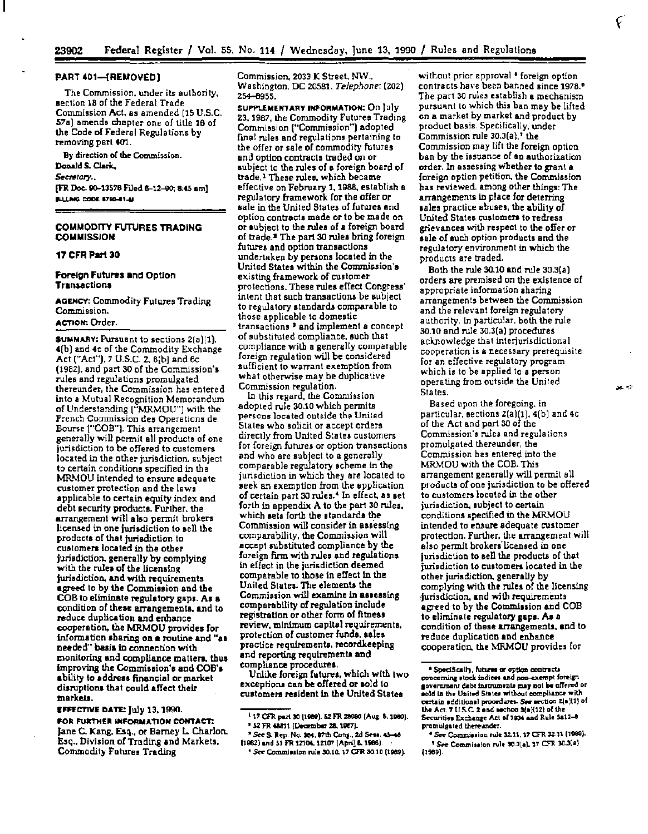#### PART 401-{REMOVED]

The Commission, under its authority, aection 18 of the Federal Trade Commission Act. as amended (15 U.S.C. 57a) amends chapter one of title 16 of the Code of Federal Regulations by removing part 401.

By direction of the Commission. Donald S. Clark. *Sectrtory .•*  (FR Doc. 90-13576 Filed 6-12-90; 8:45 am) BILLING CODE 6780-01-M

# COMMODITY FUTURES TRADING **COMMISSION**

# 17 CFR Part 30

## Foreign Futures and Option **Transactions**

AGENCY: Commodity Futures Trading Commission.

# ACTION:. Order.

SUMMAAY: Pursuant to sections 2(a)[l), 4[b] and 4c of the Commodity Exchange Act ("Act"), 7 U.S.C. 2, 8(b) and 6c. (1982), and part 30 of the Commission'• rules and regulations promulgated thereunder, the Commission has entered into a Mutual Recognition Memorandum of Understanding ("MRMOU") with the French Commission des Operations de Bourse ("COB"). This arrangement generally will permit all products of one jurisdiction to be offered to customers located in the other jurisdiction, subject to certain conditions specified in the MRMOU intended to ensure adequate customer protection and the laws applicable to certain equity index and debt security products. Further, the arrangement will also permit brokers licensed in one jurisdiction to sell the products of that jurisdiction to customers located in the other jurisdiction, generally by complying with the rules of the licensing jurisdiction. and with requirements agreed to by the Commission and the COB to eliminate regulatory gaps. As a condition of these arrangements, and to reduce duplication and enhance cooperation. the MRMOU provides for information sharing on a routine and "as needed" basis in connection with monitoring and compliance matten, thus improving the Comminion's and COB'a ability to address financial or market disruptions that could affect their marketa.

£FFt:cnYl DATE: july 13, 1990. FOR FURTHER INFORMATION CONTACT: Jane C. Kang, Esq., or Barney L Charlon. Esq .. Division of Trading and Markets, Commodity Futures Trading

Commission, 2033 K Street, NW .. Washington. DC 20581. *Telephone:* (Z02) 254-8955.

SUPPLEMENTARY INFORMATION: On lulv 23, 1987, the Commodity Futures Trading Commission {"Commission") adopted fmal rules and regulations pertaining to the offer or sale of commodity futures<br>and option contracts traded on or subject to the rules of a foreign board of trade.<sup>1</sup> These rules, which became<br>effective on February 1, 1988, establish a regulatory framework for the offer or sale in the United States of futures and option contracts made or to be made on or subject to the rules of a foreign board of trade.• The part 30 rules bring foreign futures and option transactions undertaken by persons located in the United States within the Commission's existing framewark of customer protections. These rules effect Congress' intent that such transactiona be subject to regulatory standards comparable to those applicable to domestic transactions<sup>3</sup> and implement a concept of substituted compliance, such that compliance with a generally comparable foreign regulation will be considered sufficient to warrant exemption from what otherwise may be duplicative Commission regulation.

In this regard, the Commission adopted rule 30.10 which permits persons located outside the United Stales who solicit or accept orders directly from United States customers for foreign futures or option transactions and who are aubject to a generally comparable regulatory scheme in the jurisdiction in which they are located to seek an exemption from the application of certain part 30 rules. 4 In effect, as set forth in appendix A to the part 30 rules, which sets forth the standards the Commission will consider in assessing comparability, the Commission will accept substituted compliance by the foreign finn with rules and regulations in effect in the jurisdiction deemed comparable to those in effect ln the United States. The elements the Commission will examine in assessing comparability of regulation include registration or other form of fitness review, minimum capital requirements, protection of customer funds, sales practice requirementa, recordkeeplng and reporting requirements and compliance procedures.

Unlike foreign futures, which with two exceptioru can be offered or sold to customers resident in the United States

without prior epproval• foreign option contracts have been banned since 1978.<sup>6</sup> The part 30 rules establish a mechanism<br>pursuant to which this ban may be lifted on a market by market and product by product basis. Specifically, under Commission rule  $30.3(a)$ ,<sup>1</sup> the Commission may lift the foreign option ban by the issuance of an authorization order. ln assessing w'bether to grant a foreign option petition, the Commission bas reviewed. among other things: The arrangements in place for deterring sales practice abuses, the ability of United States customers to redress grievances with respect to the offer or aale of such option products and the regulatory environment in which the products are traded.

Both the rule 30.10 and rule 30.3{a) orders are premised on the existence of appropriate information sharing arrangements between the Commission and the relevant foreign regulatory authority. In particular, both the rule 30.10 and rule 30.3(a) procedures acknowledge that interjurisdictional cooperation is a necessary prerequisite. for an effective regulatory program which is to be applied to a person operating from outside the United States.

Based upon the foregoing, in particular, sections Z(a)(l), 4(b) and 4c of the Act and part 30 of the Commission's rules and regulations promulgated thereunder, the Commission has entered into the MRMOU with the COB. This arrangement generally will permit all products of one jurisdiction to be offered to customers located in the other jurisdiction, subject to certain conditions specified in the MRMOU intended to ensure adequate customer protection. Further, the arrangement will also permit brokers licensed in one jurisdiction to sell the products of that jurisdiction to customers located in the other jurisdiction. generally by complying with the rules of the licensing .. jurisdiction, and with requirements agreed to by the Commission and COB to eliminate regulatory gaps. As a condition of these arrangements. and to reduce duplication and enhance cooperation, the MRMOU provides for

وبا عد

<sup>&</sup>lt;sup>1</sup> 17 CFR part 30 {1989}. 52 FR 28980 [Aug. 5. 1989].<br># 52 FR 48811 (December 28, 1987).

<sup>&</sup>lt;sup>8</sup> 52 FR 48811 (December 28, 1987).<br><sup>18</sup> See S. Rep. No. 384, 87th Cong., 2d Sess. 45-48<br>[1962) and 51 FR 12104, 12107 (Apri<u>l</u> & 1966).

<sup>&</sup>lt;sup>\*</sup> See Commission rule 30.10. 17 CFR 30.10 (1989).

<sup>•</sup> Specifically, futures or option contracts<br>concerning stock indices and non-exempt foreign government debt instruments may not be offered or nold in the United States without compliance with certain additional procedures. *See* section 2(a)(1) of<br>the Act. 7 U.S.C. 2 and section 3(a)(12) of the Securities Exchange Act of 1934 and Rule 3a12-8 promulaated thereunder.

<sup>&</sup>lt;sup>e</sup> See Commission rule 32.11, 17 CFR 32.11 (1989). <sup>1</sup> See Commission rule  $30.3(a)$ . 17 CFR  $30.3(a)$ . (1989)-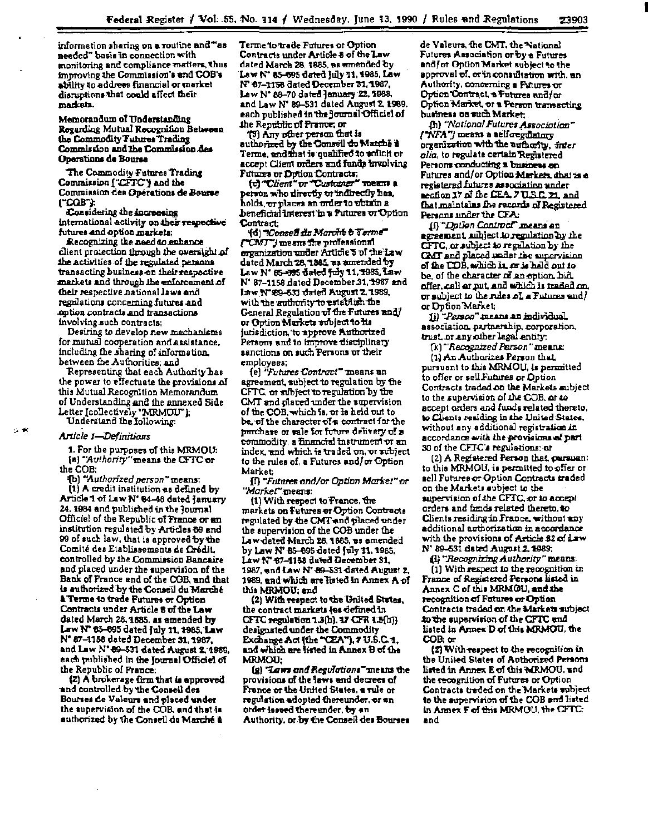information sharing on a routine and "as needed" basis in connection with monitoring and compliance matters, thus improving the Commission's and COB's ability to address financial or market disruptions that could affect their markets.

Memorandum of Understanding Regarding Mutual Recognition Between the Commodity Futures Trading Commission and the Commission des Operations de Bourse

The Commodity Futures Trading Commission ["CFTC"] and the Commission des Opérations de Bourse ("COB"):

Considering the increasing international activity on their respective futures and option markets:

Recognizing the need to enhance client protection through the oversight of the activities of the regulated persons transacting business on their respective markets and through the enforcement of their respective national laws and regulations concerning futures and cotion contracts and transactions involving such contracts:

Desiring to develop new mechanisms for mutual cooperation and assistance, including the sharing of information. between the Authorities, and

Representing that each Authority has the power to effectuate the provisions of this Mutual Recognition Memorandum of Understanding and the annexed Side Letter [collectively 'MRMOU'); Understand the Iollowing:

#### Article 1-Definitions

1. For the purposes of this MRMOU: (a) "Authority" means the CFTC or the COB;

(b) "Authorized person" means: (1) A credit institution as defined by

Article 1 of Law N' 64-46 dated January 24, 1984 and published in the Journal Officiel of the Republic of France or an institution regulated by Articles 69 and 99 of such law, that is approved by the Comité des Etablissements de Crédit. controlled by the Commission Bancaire and placed under the supervision of the Bank of France and of the COB, and that is suthorized by the Conseil du Marché **A Terme to trade Futures or Option** Contracts under Article 8 of the Law dated March 28, 1585, as amended by Law N° 65-695 dated July 11, 1985, Law N' 87-1158 dated December 31, 1987, and Law N' 89-531 dated August 2, 1989. each published in the Journal Officiel of the Republic of France:

(2) A brokerage firm that is approved and controlled by the Conseil des Bourses de Valeurs and placed under the supervision of the COB, and that is authorized by the Conseil du Marché à

Terme to trade Futures or Option Contracts under Article 8 of the Law dated March 28, 1885, as amended by Law N' 85-695 dated July 11, 1985, Law N° 07-1158 dated December 31, 1987. Law N° 88-70 dated January 22, 1988. and Law N' 89-531 dated August 2, 1989. each published in the Journal Officiel of the Republic of Prance, or

(3) Any other person that is authorized by the Conseil do Manthe a Terme, and that is qualified to solicit or accept Client orders and funds involving Futures or Detion Contracts.

(c) "Client" or "Customer" means a person who directly or indirectly has. holds, <del>or</del> places an order to obtain a beneficial Interest in a Futures or Option. **Contract:** 

(d) "Consell du Marché à Terme" ("CMT") means the professional organization under Article 5 of the Law dated March 28, 1885, as amended by Law N° 65-095 dated fuly 11, 1985, Law N' 87-1158 dated December 31, 1987 and Law N° 89-631 dated August 2, 1989, with the suthority to establish the General Regulation of the Futures and/ or Option Markets subject to its jurisdiction, to approve Authorized Persons and to improve disciplinary sanctions on such Persons or their employees;

(e) "Futures Controut" means an agreement, subject to regulation by the CFTC, or subject to regulation by the CMT and placed under the supervision of the COB, which is, or is held out to be, of the character of a contract for the purchase or sale for future delivery of a commodity, a thancial instrument or an index, and which is traded on, or subject to the rules of, a Futures and/or Option Market:

[1] "Futures and/or Option Market" or "Market" means:

(1) With respect to France, the markets on Futures or Option Contracts regulated by the CMT and placed under the supervision of the COB under the Law dated March 28, 1885, as amended by Law N' 85-695 dated fuly 11, 1985. Law N° 67-1158 dated December 31, 1987, and Law N' 89-331 dated August 2, 1989, and which are listed in Annex A of this MRMOU: and

(2) With respect to the United States. the contract markets (as defined in CFTC regulation 1.3(h), 17 CFR 1.3(h)) designated under the Commodity Exchange Act (the "CEA"), 7 U.S.C.1, and which are listed in Annex B of the **MRMOU:** 

(g) "Laws and Regulations" means the provisions of the laws and decrees of France or the United States, a rule or regulation adopted thereunder, or an order issued thereunder, by an Authority, or by the Conseil des Bourses

de Valeurs, the CMT, the National Futures Association or by a Futures end/or Option Market subject to the approval of, or in consultation with, an Authority, concerning a Futures or Option Contract, a Futures and/or Option Market, or a Person tramacting business on such Market.

In) "National Futures Association" / NFA") means a self-regulatory organization with the authority, inter olio, to regulate certain Registered Persons conducting a business on Futures and/or Option Markets, shat is a registered futures association under section 17 of the CEA, 7 U.S.C. 21, and that maintains the records of Registered Persons under the CEA:

18 "Dation Contract" means an agreement, subject to regulation by the CFTC, or subject to regulation by the CMT and placed under the supervision of the COB, which is, or is held out to be, of the character of an option bid. offer, call or put, and which is traded on.  $\sigma$  subject to the rules of a Futures and/ or Dpfion Market;

(i) "*Person*" means an individual association, partnership, corporation. trust, or any other legal entity;

[k] "Recognized Person" means: (1) An Authorizes Person that. pursuant to this MRMOU, is permitted to offer or sell Futures or Option Contracts traded on the Markets subject to the supervision of the COB, or to accept orders and funds related thereto. to Clients residing in the United States. without any additional registration in accordance with the provisions of part 30 of the CFTC's regulations; or

(2) A Registered Person that, garsusnt to this MRMOU, is permitted to offer or sell Futures or Option Contracts traded on the Markets subject to the aupervision of the CFTC, or to accept orders and fimds related thereto, to Clients residing in France, without any additional authorization in accordance with the provisions of Article \$2 of Law N' 89-531 dated August 2, 1989;

ill "Recognizing Authority" means:

(1) With respect to the recognition in France of Registered Persons listed in Annex C of this MRMOU, and the recognition of Futures or Option Contracts traded on the Markets subject to the supervision of the CFTC and listed in Annex D of this MRMOU, the COB; or

(2) With respect to the recognition in the United States of Authorized Persons listed in Annex E of this MRMOU, and the recognition of Futures or Option Contracts traded on the Markets subject to the supervision of the COB and listed in Annex F of this MRMOU, the CFTC: and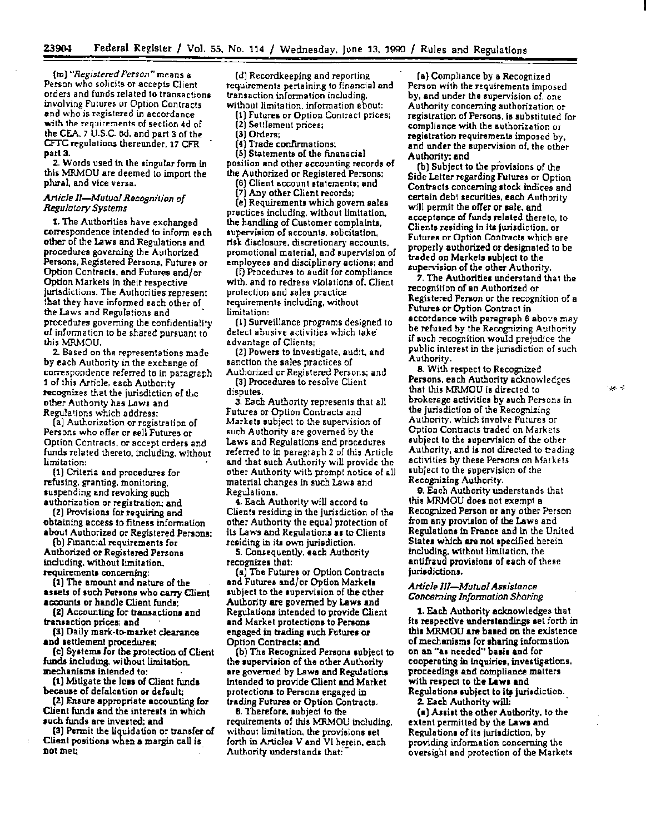(m) *"Registered Perso."'''means* a Person who solicits or accepts Client orders and funds related to transactions involving Futures ur Option Contracts and who is registered in accordance with the requirements of section 4d of the CEA. 7 U.S.C. 6d, and part 3 of the CFTC regulations thereunder. 17 CFR part 3.

2. Words used in the singular form in this MRMOU are deemed to import the plural, and vice versa.

# *Article 11-Mutuo/ Recognition* of *Regulatory Systems*

t. The Authorities have exchanged correspondence intended to inform each other of the Laws and Regulations and procedures governing the Authorized Persons, Registered Persons, Futures or Option Contracts, and Futures and/or Option Markets in their respective jurisdictions. The Authorities represent :bat they have informed each other of the Laws and Regulations and procedures governing the confidentiality of information to be shared pursuant to this MRMOU.

2. Based on the representations made by each Authority in the exchange of correspondence referred to in paragraph 1 of this Article, each Authority recognizes that the jurisdiction of the other Authority has Laws and Regula•ions which address:

(a) Authorization or registration of Persons who offer or sell Futures or Option Contracts, or accept orders and funds related thereto, including, without limitation:

{1} Criteria and procedur-es for refusing, granting, monitoring, suspending and revoking such authorization or registration; and

(2) Provisions for requiring and obtaining access to fitness information about Authorized or Registered Persons:

(b) Financial requirements for Authorized or Registered Persons including, without limitation, requirements concerning:

{1} The amount and nature of the assets of such Persons who carry Client accounts or handle Client funds:

{2) Accounting for transactiont and transaction prices; and

(3) Daily mark-to-market clearance and settlement procedures;

(c) Systems for the protection of Client funds including, without limitation. mechanisms intended to:

(1) Mitigate the loss of Client funds because of defalcation or default;

(2) Enture appropriate accounting for Client funds and the interests in which such funds are invested; and

(3) Permit the liquidation or transfer of Client positions when a margin call is DOl met;

(d) Recordkeeping and reporting requirements pertaining to f:nancial and transaction information including, without limitation. information about:

- (1) Futures or Option Contract prices;
- (2} Settlement prices;
- (3) Orders;
- (4} Trade confirmations;

{5) Statements of the finanacial position and other accounting records of the Authorized or Registered Persons;

{6) Client account statements; and

(7) Any other Client records: (e) Requirements which govern sales practices including. without limitation. the handling of Customer complaints, supervision of accounts, solicitation, risk disclosure, discretionary accounts, promotional material, and tupervision of employees and disciplinary actions; and

{f) Procedures to audit for compliance with, and to redress violations of, Client protection and sales practice requirements including, without limitation:

(1} Surveillance programs designed to detect abusive activities which takeadvantage of Clients;

(2) Powers to investigate, audit. and sanction the sales practices of Authorized or Registered Persons; and

(3) Procedures to resolve Client disputes.

3. Each Authority represents that all Futures or Option Contracts and Markets subject to the supervision of such Authority are governed by the Laws and Regulations and procedures referred to in paragraph 2 of this Article and that such Authority will provide the other Authority with prompt notice of all material changes in such Laws and Regulations.

4. Each Authority will accord to Clients residing in the jurisdiction of the other Authority the equal protection of its Laws and Regulations as to Clients residing in its own jurisdiction.

5. Comequently, each Authority recognizes that:

(a) The Futures or Option Contracts and Futures and/or Option Markets aubject to the supervision of the other Authority are governed by Laws and Regulationt intended to provide Client and Market protections to Persons engaged in trading such Futures or Option Contracts; and

(b) The Recognized Persons subject to<br>the supervision of the other Authority are governed by Laws and Regulations intended to provide Client and Market protections to Persont engaged in trading Futures or Option Contracts.

6. Therefore, subject to the requirements of this MRMOU including, without limitation, the provisions eel forth in Articles V and VI herein, each .Authority understands that:-

{a) Compliance by a Recognized Person with the requirements imposed by, and under the supervision of, one<br>Authority concerning authorization or registration of Persons, is substituted for compliance with the authorization or registration requirements imposed by, and under the supervision of, the other Authority: and

(b) Subject to the provisions of the Side Letter regarding Futures or Option Contracts concerning stock indices and certain debt securities, each Authority will permit the offer or sale, and acceptance offunds related thereto, to Clients residing in its jurisdiction, or Futures or Option Contracts which ate properly authorized or designated to be traded on Markets subject to the supenrision of the other Authority.

*7.* The Authorities understand that the recognition of an Authorized or Registered Person or the recognition of a Futures or Option Contract in accordance with paragraph 6 above may be refused by the Recognizing Authority if such recognition would prejudice the public interest in the jurisdiction of such Authority.

8. With respect to Recognized Persons, each Authority acknowledges that this MRMOU is directed to brokerage activities by such Persons in the jurisdiction of the Recognizing Authority, which involve Futures or Option Contracts traded on Markets subject to the supervision of the other Authority, and is not directed to trading activities by these Persons on Markets subject to the supervision of the Recognizing Authority.

9. Each Authority understands that this MRMOU does not exempt a Recognized Person or any other Person from any provision of the Lawe and Regulations in France and in the United States which are not specified herein including, without limitation, the antifraud provisions of each of these jurisdictions.

# *Article 111-Mu/uol Assistance Conceming Information Sharing*

1. Each Authority acknowledges that its respective understandings set forth in this MRMOU are based on the existence of mechanisms for sharing information on an ··as needed" basis and for cooperating in inquiries, investigations, proceedings and compliance matters with respect to the Lawe and Regulations subject to its jurisdiction.

2- Each Authority will;<br>(a) Assist the other Authority, to the extent permitted by the Laws and Regulation• of its jurisdiction, by providing information concerning the oversight and protection of the Markets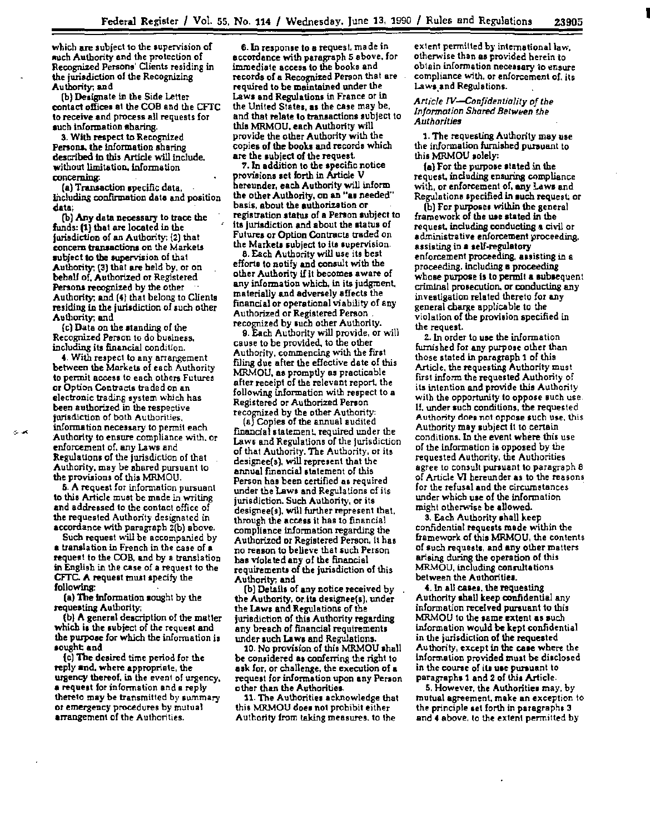which are subject to the supervision of auch Authority and the protection of Recognized Persons' Clients residing in the jurisdiction of the Recognizing Authority. and

(b) Designate In lhe Side Letter contact offices at the COB and the CFTC to receive and process all requests for such information sharing.

3. With respect to Recognized Persons, the information sharing described in this Article will include. without limitation, information concerning:

(a) Transaction specific data. including confirmation data and position data;

(b) Any data necessary to trace the funds: (1) that are located in the jurisdiction of an Authority: {2) that concem tranaactions on the Markets subject to the supervision of that Authority: {3) that are held by, or on behalf of, Authorized or Registered Persons recognized by the other Authority. and (4) that belong to Clients residing in the jurisdiction of such other Authority; and

{c) Data on the standing of *the*  Recognized Person to do business. including its financial condition.

4. With respect to any arrangement between the Markets of each Authority to permit access to each others Futures or Option Contracts traded ori an electronic trading system which has been authorized in the respective jurisdiction of both Authorities. information necessary to permit each Authority to ensure compliance with. or enforcement of, any Laws and Regulations of the jurisdiction of that Authority, may be shared pursuant to the provisions of this MRMOU.

5. A request for information pursuant to this Article must be made in writing and addressed to the contact office of the requested Authority designated in accordance with paragraph Z(b) above.

Such request will be accompanied by a translation in French in the case of a request to the COB, and by a translation in English in the case of a request to the CFTC. A request must specify the following:

(a) The information sought by the requesting Authority;

(b) A general description of the matter which is the subject of the request and the purpose for which the infonnation is sought and

{c) The desired time period for the reply and. where appropriate, the urgency thereof, in the event of urgency, a request for infonnation and a reply thereto may be transmitted by &ummary or emergency procedures by mutual arrangement of the Authorities.

6.1n response to a request. made in accordance with paragraph 5 above, for immediate access to the books and records of a Recognized Person that are required to be maintained under the Laws and Regulations in France or in the United States, as the case may be, and that relate to transactions subject to this MRMOU, each Authority will provide the other Authority with the copies of the booka and records which are the subject of the request.

7.ln addition to the specific notice provisions set forth in Article V hereunder, each Authority will inform the other Authority, on an "a• needed" basis, about the authorization or registration status of a Person subject to ita jurisdiction and about the status of Futures or Option Contracts traded on the Markets subject to its supervision.

8. Each Authority will use its best efforts to notify and conault with the other Authority if It becomes aware of any information which. in its judgment, materially and adversely affects the financial or operational viability of any Authorized or Registered Person . recognized by such other Authority.

Q. Each Authority will provide, or will cause to be provided. to the other Authority, commencing with the first flling due after the effective date of this MRMOU, as promptly as practicable after receipt of the relevant report. the following information with respect to a Registered or Authorized Person recognized by the other Authority:

(aJ Copies of the annual audited financial statement, required under the Laws and Regulations of the jurisdiction of that Authority. The Authority, or ita designee(s), will represent that the annual financial statement of this Person has been certified as required under the Laws and Regulations of its jurisdiction. Such Authority, or its designee(s). will further represent that. through the access it has to financial compliance information regarding the Authorized or Registered Person. it has no reason to believe that such Person has violated any of the financial requirements of the jurisdiction of this Authority; and

(b) Details of any notice received by the Authority, or its designee(s), under the Laws and Regulations of the jurisdiction of this Authority regarding any breach of financial requirements under such Laws and Regulations.

10. No provision of this MRMOU shall be considered as conferring the right to ask for. or challenge. the execution of a request for information upon any Person other than the Authorities.

11. The Authorities acknowledge that this MRMOU doe• not prohibit either Authority from taking measures. to the

extent permitted by international law, otherwise than as provided herein to obtain information necessary to ensure compliance with, or enforcement of. its Laws and Regulations.

Article IV-Confidentiality of the *Information Shared Between the Authorities* 

1. The requesting Authority may use the information furnished pursuant to this MRMOU solely:

{a) For the purpose stated in the request, including ensuring compliance with, or enforcement of, any Laws and Regula tiona specified in such request; or

(b) For purposes within the general framework of the use stated in the request, including conducting a civil or administrative enforcement proceeding, assisting in a self-regulatory enforcement proceeding, assisting in a proceeding. including a proceeding whose purpose is to permit a aubsequent crim1nal prosecution. or conducting any investigation related thereto for any general charge applies ble to the violation of the provision specified in the request.

2.1n order to use the information furnished for any purpose other than those stated in paragraph 1 of this Article, the requesting Authority must first inform the requested Authority of its intention and provide this Authority with the opportunity to oppose such use. If. under such conditions, the requested Authority does not oppose such use, this Authority may subject it to certain conditions. In the event where this use of the information is opposed by the requested Authority. the Authorities agree to consult pursuant to paragraph 8 of Article VI hereunder as to the reasons for the refusal and the circumstances under which use of the information might otherwise be allowed.

3. Each Authority shall keep confidential requests made within the framework of this MRMOU, the contents cf such requests, and any other matters arising during the operation of this MRMOU, including consultations between the Authorities.

4. In all easea, the requesting Authority shall keep confidential any information received pursuant to this MRMOU to the same extent as such information would be kept confidential in the jurisdiction of the requested Authority, except in the case where the information provided must be disclosed in the course of ill use pursuant to paragrapha1 and 2 of this Article.

5. However, the Authoritie• may. by mutual agreement. make an exception to the principle set forth in paragraph• 3 and 4 above. to the extent permitted by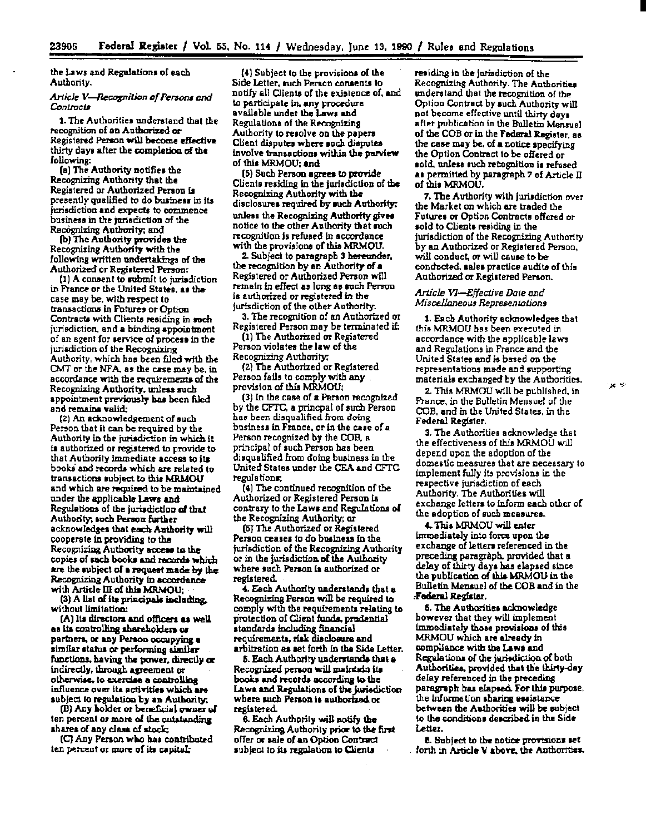the Laws and Regulations of each Authority.

## Article V-Recognition of Persons and Contracts

1. The Authorities understand that the recognition of an Authorized or Registered Person will become effective thirty days after the completion of the following:

(a) The Authority notifies the Recognizing Authority that the Registered or Authorized Person is presently qualified to do business in its jurisdiction and expects to commence business in the jurisdiction of the Recognizing Authority; and

(b) The Authority provides the Recognizing Authority with the following written undertakings of the Authorized or Registered Person:

(1) A consent to submit to jurisdiction in France or the United States, as the case may be, with respect to transactions in Futures or Option Contracts with Clients residing in such jurisdiction, and a binding appointment of an agent for service of process in the jurisdiction of the Recognizing Authority, which has been filed with the CMT or the NFA, as the case may be, in accordance with the requirements of the Recognizing Authority, unless such appointment previously has been filed and remains valid:

(2) An acknowledgement of such Person that it can be required by the Authority in the jurisdiction in which it is authorized or registered to provide to that Authority immediate access to its books and records which are related to transactions subject to this MRMOU and which are required to be maintained under the applicable Laws and Regulations of the jurisdiction of that Authority, such Person further acknowledges that each Authority will cooperate in providing to the Recognizing Authority access to the copies of such books and records which are the subject of a request made by the Recognizing Authority in accordance with Article III of this MRMOU;

(3) A list of its principals including, without limitation:

(A) Its directors and officers as well as its controlling abareholders or partners, or any Person occupying a similar status or performing similar functions, having the power, directly or indirectly, through agreement or otherwise, to exercise a controlling influence over its activities which are subject to regulation by an Authority;

(B) Any holder or beneficial owner of ten percent or more of the outstanding shares of any class of stock;

(C) Any Person who has contributed ten percent or more of its capital;

(4) Subject to the provisions of the Side Letter, such Person consents to notify all Clients of the existence of, and to participate in, any procedure available under the Laws and Regulations of the Recognizing Authority to resolve on the papers Client disputes where such disputes involve transactions within the purview of this MRMOU: and

[5] Such Person agrees to provide Clients residing in the jurisdiction of the Recognizing Authority with the disclosures required by such Authority. unless the Recognizing Authority gives notice to the other Authority that such recognition is refused in accordance with the provisions of this MRMOU.

2. Subject to paragraph 3 hereunder, the recognition by an Authority of a Registered or Authorized Person will remain in effect as long as such Person is authorized or registered in the jurisdiction of the other Authority.

3. The recognition of an Authorized or Registered Person may be terminated if:

(1) The Authorized or Registered Person violate<del>s</del> the law of the Recognizing Authority,

(2) The Authorized or Registered Person fails to comply with any provision of this MRMOU;

(3) In the case of a Person recognized by the CFTC, a princpal of such Person has been disqualified from doing business in France, or in the case of a Person recognized by the COB, a principal of such Person has been disqualified from doing business in the United States under the CEA and CFTC regulations;

(4) The continued recognition of the Authorized or Registered Person is contrary to the Laws and Regulations of the Recognizing Authority; or

[5] The Authorized or Registered Person ceases to do business in the jurisdiction of the Recognizing Authority or in the jurisdiction of the Authority where such Person is suthorized or registered.

4. Each Authority understands that a Recognizing Person will be required to comply with the requirements relating to protection of Client funds, prodential standards including financial requirements, risk disclosure and arbitration as set forth in the Side Letter.

5. Each Authority understands that a Recognized person will maintain its books and records according to the Laws and Regulations of the jurisdiction where such Person is authorized or registered

6. Each Authority will notify the Recognizing Authority price to the first offer or sale of an Option Contract subject to its regulation to Clients

residing in the jurisdiction of the Recognizing Authority. The Authorities understand that the recognition of the Option Contract by such Authority will not become effective until thirty days after publication in the Bulletin Mensuel of the COB or in the Federal Register, as the case may be, of a notice specifying the Option Contract to be offered or sold, unless such recognition is refused as permitted by paragraph 7 of Article II of this MRMOU.

7. The Authority with jurisdiction over the Market on which are traded the Futures or Option Contracts offered or sold to Clients residing in the jurisdiction of the Recognizing Authority by an Authorized or Registered Person, will conduct, or will cause to be conducted, sales practice audits of this Authorized or Registered Person.

## Article VI-Effective Date and Miscellaneous Representations

1. Each Authority acknowledges that this MRMOU has been executed in accordance with the applicable laws and Regulations in France and the United States and is based on the representations made and supporting materials exchanged by the Authorities.

2. This MRMOU will be published, in France, in the Bulletin Mensuel of the COB, and in the United States, in the Federal Register.

3. The Authorities acknowledge that the effectiveness of this MRMOU will depend upon the adoption of the domestic measures that are necessary to implement fully its provisions in the respective jurisdiction of each Authority. The Authorities will exchange letters to inform each other of the adoption of such measures.

4. This MRMOU will enter immediately into force upon the exchange of letters referenced in the preceding paragraph, provided that a delay of thirty days has elapsed since the publication of this MRMOU in the Bulletin Mensuel of the COB and in the Federal Register.

5. The Authorities acknowledge however that they will implement immediately those provisions of this MRMOU which are elready in compliance with the Laws and Regulations of the jurisdiction of both Authorities, provided that the thirty-day delay referenced in the preceding paragraph has elapsed. For this purpose. the information sharing assistance between the Authorities will be subject to the conditions described in the Side Letter.

8. Subject to the notice provisions set forth in Article V above, the Authorities.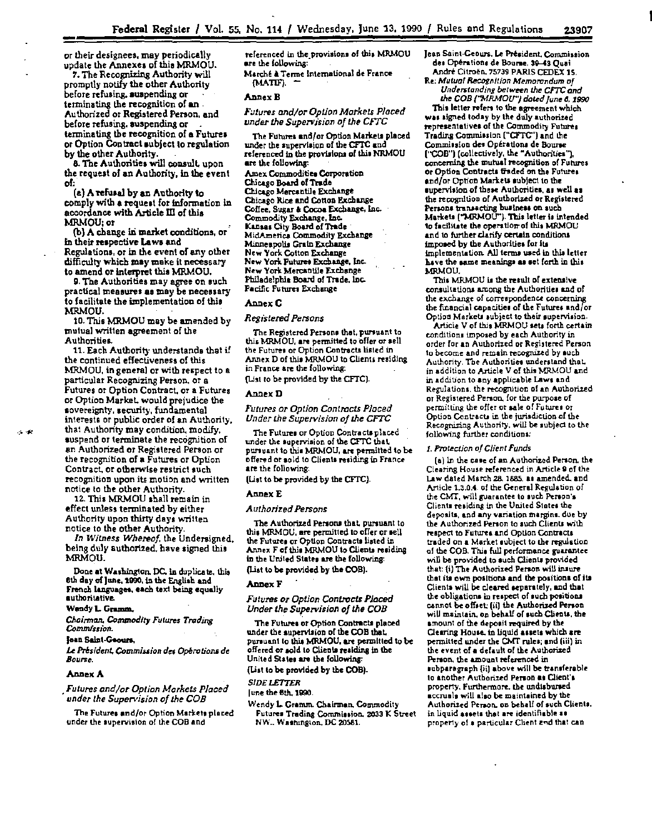Federal Register / V<br>or their designees, may periodically update the Annexes of thia MRMOU.

7. The Recognizing Authority will promptly notify the other Authority before refusing. auspending or terminating the recognition of an Authorized or Registered Person, and before refusina. suspending or terminating the recognition of a Futures or Option Contract subject to regulation by the other Authority.

8. The Authorities will consult, upon the requeat of an Authority, In lhe event of:

(a) A refusal by an Authority to comply with a requett for information in accordance with Article III of this MRMOU;or

(b) A change in market conditions, or in their respective Laws and Regulations, or in the event of any other difficulty which may make it necessary to amend or interpret this MRMOU.

9. The Authorities may agree on such practical measures as may be necenary to facilitate the implementation of thie MRMOU.

10. This MRMOU may be amended by mutual written agreement of the Authorities.

11. Each Authority understands that if the continued effectiveness of this MRMOU, in general or with respect to a particular Recognizing Person. or a Futures or Option Contract. or a Futures or Option Market. would prejudice the sovereignty, security, fundamental interests or public order of an Authority, that Authority may condition. modify, suspend or terminate the recognition of<br>an Authorized or Registered Person or the recognition of a Futures or Option Contract. or otherwise restrict such recognition upon its motion and written notice to the other Authority.

12. This MRMOU shall remain in effect unless terminated by either Authority upon thirty days written notice to the other Authority.

*In Witness Whereof,* the Undersigned, being duly authorized. have signed thia MRMOU.

Done at Washington. DC. in duplicate. this 6th day of June. 1990, in the English and French languages, each text being equally authoritative.

#### Wendy L. Gramm.

*Chairman. Commodity Futures Trading Commission.* 

#### **Jean Saint-Genure.**

*U Pr!sident. Commission* de~ *Operatiom* de *Bourse.* 

#### Annex A

. *Futures and/or Option Marhet.s Placed under the Supervision of the* COB

The Futures and/or Option Markets placed under the supervision of the COB and

referenced in the provisions of this MRMOU are the following:

Marché à Terme International de France (MATIF).

#### Annex 8

## *F;;tures and/or Option Marhet.s Placed under the Supervision of the* CFTC

The Futures and/or Option Markets placed under the supervision of the CFTC and referenced in the provisions of this NRMOU are the following: Amex Commodities Corporation Chicago Board of Trade Chicago Mercantile Exchange Chicago Rice and Cotton Exchange

Coffee, Sugar & Cocoa Exchange, Inc. Commodity Exchange, Inc. Kansas City Board of Trade MidAmeriea Commodity Exchange Minneapolis Grain Exchange New York Cotton Exchange New York Putures Exchange, Inc. New York Mercantile Exchange Philadelphia Board of Trade, Inc. Pacific Futuret Exchanse

#### Annex C

#### *RegiStered Persons*

The Registered Persons that, pursuant to this MRMOU, are permitted to offer or sell the Futures or Option Contracts listed in Annex D of this MRMOU to Clients residing In France are the following:

{l.ist to be provided by the CFTC).

#### AnnexD

*Futures or Option Contracts Placed Under the Supervision of the CFTC* 

The Futures or Option Contracts placed under the supervision of the CFTC that. pursuant to this MRMOU, are permitted to be offered or sold to Clients residing in France are the following:

(Us! to be provided by the CFTC).

## Annex E

#### *Authorized Persons*

The Authorized Persons that. pursuant to this MRMOU, are permitted to offer or sell the Futurea or Option Contracts listed in Annex F of this MRMOU to Clients residing in the United States are the following: (List to be provided by the COB).

#### Annex F

#### *Futures or Option Contracts Placed Under the Supervision of* the *COB*

The Futures or Option Contracts placed under the aupervilion of the COB that. pursuant to this MRMOU, are permitted to be offered or sold to Clients realding in the United States are the following: (List to be provided by the COB).

#### *SIDE LETTER*

#### (une the Bth. 1990.

Wendy L Gramm. Chairman. Commodity Futures Trading Commission. 2033 K Street NW., Washington, DC 20581.

- Jean Saint-Geours. Le Président, Commission des Opérations de Bourse, 39-43 Quai André Citroën, 75739 PARIS CEDEX 15.
- Re; *Mutual kctlgnition Memorandum of*  Understanding between the CFTC and

the *COB ("''MRMOCF1 doled June 6. 1990*  This letter refers to the agreement which was signed today by the duly authorized representatives of the Commodity Futurea Trading Commission ("CFTC") and the Commission des Opérations de Bourse ('COB") (collectively, the "Authorities"), concerning the mutual recognition of Futures or Option Contracts traded on the Futures and/or Option Markets subject to the supervision of these Authorities, as well as the recognition of Authorized or Registered Persons transacting buJiness on such Markets ("MRMOU"). This letter is intended to facilitate the operation-of thia MRMOU and to further clarify certain conditions imposed by the Authorities for its implementation. All terms used in this letter have the same meanings as set forth in this MRMOU.

This MRMOU is the result of extensive consultations among the Authorities and of the exchange of correspondence concerning the financial capacitiet of the Futurea and{ or Option Markets subject to their supervision.

Article V of this MRMOU sets forth certain conditions imposed by each Authority in order for an Authorized or Registered Person to become and remain recognized by such Authority. The Authorities understand that. in addition to Article V of this MR.MOU and in addition to any applieab\e Lawt a.nd Regulations, the recognition of an Authorized or Registered Person. for the purpote of permitting the offer or sale of Futures or Option Contracts in the jurisdiction of the Recognizing Authority, will be subject to the following further conditiona;

#### 1. Protection of Client Funds

(a) In the case of an Authorized Person, the Clearing House referenced in Article 9 of the Law dated March 28. 1885, as amended. and Article 1.3.0.4. of lhe General Regulstion of the CMT, will guarantee to such Person's Clients residing in the United States the deposits, and any Yariation msrgina. due by the Authorized Person to such Clients with respect to Futures and Option Contracts traded on a Market subject to the regulation of the COB. Thia full perfonnance guarantee will be provided to such Clients provided that: (i) The Authorized Person will injure that its own positions and the positions of its Clients will be cleared separately, and that the obligations in respect of such positions cannot be offset; (ii) the Authorized Person will maintain, on behalf of such Clients, the amount of the deposit required by the Clearing House, in liquid assets which are permitted under the CMr rulet; and (iii) in the event of a default of the Authorized Person, the amount referenced in subparagraph {ii] above will be transferable to another Authorized Person as Client's property. Furthermore, the undisbursed accruals will also be maintained by the Authorized Person, on behalf of such Clients. in liquid assets that are identifiable as property of a particular Client and that can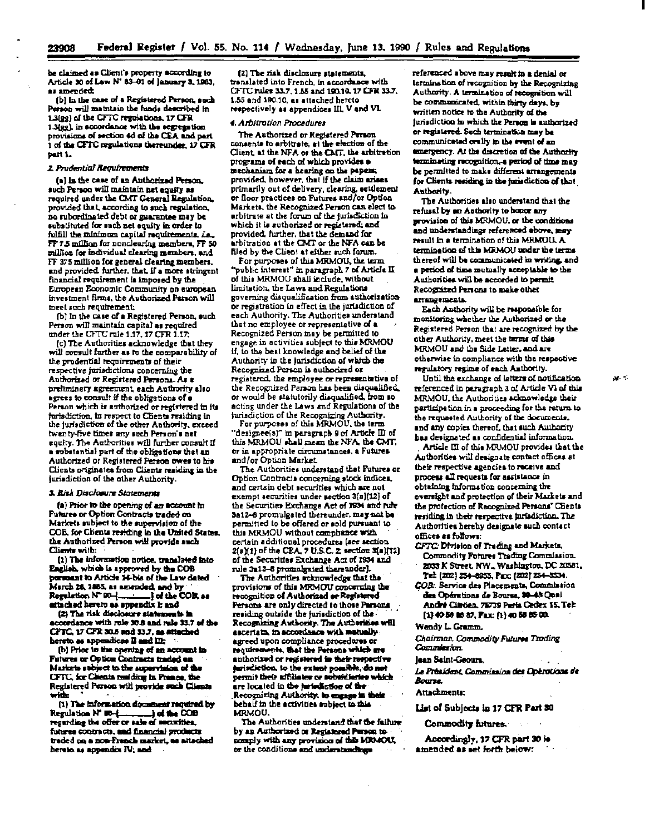be claimed as Client's property according to Article 30 of Law N° 83-01 of January 3, 1983. as amended:

(b) In the case of a Registered Person, such Person will maintain the funds described in 1.3(gg) of the CFTC regulations, 17 CFR 1.3(gg), in accordance with the segregation provisions of section 4d of the CEA and part 1 of the CFTC regulations thereunder, 17 CFR part 1.

# 2 Prudential Requirements

(a) is the case of an Authorized Person. such Person will maintain net equity as required under the CMT General Regulation. provided that, according to such regulation, no subordinated debt or guarantee may be substituted for such net equity in order to fulfill the minimum capital requirements, i.e. FF 7.5 million for nonclearing members, FF 50 million for individual clearing members, and FF 375 million for general clearing members. and provided, further, that, if a more stringent financial requirement is imposed by the European Economic Community on european investment firms, the Authorized Person will meet such requirement:

(b) In the case of a Registered Person, ouch Person will maintain capital as required under the CFTC rule 1.17, 17 CFR 1.17;

(c) The Authorities acknowledge that they will consult further as to the comparability of the prodential requirements of their respective jurisdictions concerning the Authorized or Registered Persona. As a preliminary agreement, each Authority also agrees to consult if the obligations of a Person which is authorized or registered in its furisdiction, in respect to Clients residing in the jurisdiction of the other Authority, exceed twenty-five times any such Person's net equity. The Authorities will further consult if a substantial part of the obligations that an Authorized or Registered Person owes to his Clients originates from Clients residing in the jurisdiction of the other Authority.

#### 3. Risk Disclosure Statements

(a) Prior to the opening of an account in Futures or Option Contracts traded on Markets subject to the supervision of the COB, for Chents residing in the United States, the Authorized Person will provide such Clients with:

(1) The information notice, translated into English, which is approved by the COB personnt to Article 14-bis of the Law dated March 28, 1885, as amended, and by Regulation N° 90-1  $\frac{1}{2}$  of the COB, as attached hereto as appendix I; and

(2) The risk disclosure statements in accordance with rule 30.8 and rule 33.7 of the CPTC, 17 CPR 30.5 and 33.7, as attached hereto as appendices II and III:

(b) Prior to the opening of an account in Futures or Option Contracts traded an Markets subject to the supervision of the CFTC, for Clients residing in France, th Registered Person will provide such Clients with

(1) The information document required by Regulation N' 80-{ regarding the offer or sale of securities. futures contracts, and financial products traded on a non-Franch market, as altached hereto as appendix IV; and

(2) The risk disclosure statements, translated into French, in accordance with CFTC rules 33.7, 1.55 and 190.10, 17 CFR 33.7, 1.55 and 190.10, as attached hercto respectively as appendices III, V and VI.

#### 4. Arbitrotion Procedures

The Authorized or Registered Person consents to arbitrate, at the election of the Client, at the NFA or the CMT, the arbitration programs of each of which provides a mechanism for a hearing on the papers; provided, however, that if the claim arises primarily out of delivery, clearing, settlement or floor practices on Futures and/or Option Markets, the Recognized Person can elect to arbitrate at the forum of the jurisdiction in which it is suthorized or registered; and provided, further, that the demand for arbitration at the CMT or the NFA can be filed by the Client at either such forum.

For purposes of this MRMOU, the term "public interest" in paragraph 7 of Article II of this MRMOU shall include, without limitation, the Laws and Regulations governing disqualification from authorization or registration in effect in the jurisdiction of each Authority. The Authorities understand that no employee or representative of a Recognized Person may be permitted to engage in activities subject to this MRMOU if, to the best knowledge and belief of the Authority in the jurisdiction of which the Recognized Person is authorized or registered, the employ<del>ee</del> or representative of the Recognized Person has been disqualified. or would be statutorily disqualified, from so acting under the Laws and Regulations of the jurisdiction of the Recognizing Authority.

For purposes of this MRMOU, the term "designee(s)" in paragraph 9 of Article III of this MRMOU shall mean the NFA, the CMT. or in appropriate circumstances, a Futures and/or Option Market.

The Authorities understand that Futures or Option Contracts concerning stock indices. and certain debt securities which are not exempt securities under section 3(a)(12) of the Securities Exchange Act of 1934 and rule 3a12-8 promulgated thereunder, may not be permitted to be offered or sold pursuant to this MRMOU without comphance with certain additional procedures (see section 2(a)(1) of the CBA, 7 U.S.C. 2, section 3(a)(12) of the Securities Exchange Act of 1934 and rule 3m12-8 promulgated thereunder).

The Authorities scknowledge that the provisions of this MRMOU concerning the recognition of Authorized or Registered Persons are only directed to those Persons residing outside the jurisdiction of the-Recognizing Authority. The Authorities will escertain, in accordance with matually. agreed upon compliance procedures or requirements, that the Persons which are authorized or registered in their respective perindiction, to the extent possible, do not permit their affiliates or subsidiaries which are located in the juriediction of the Recognizing Authority, to engage in their behalf in the activities subject to this MRMOU.

The Authorities understand that the failure by an Authorized or Registered Person to comply with any provision of this MRMOU. or the conditions and understandings

referenced above may result in a denial or termination of recognition by the Recognizing Authority. A termination of recognition will be communicated, within thirty days, by written notice to the Authority of the jurisdiction in which the Person is authorized or registered. Such termination may be communicated orally in the event of an emergency. At the discretion of the Authority terminating recognition, a period of time may be permitted to make different arrangements for Clients residing in the jurisdiction of that Authority.

The Authorities also understand that the refusal by an Authority to honor any provision of this MRMOU, or the conditions and understandings referenced above, may result in a termination of this MRMOU. A termination of this MRMOU under the terms thereof will be communicated in writing, and a period of time mutually acceptable to the Authorities will be accorded to permit Recognized Persons to make other arrangements.

Each Authority will be responsible for monitoring whether the Authorized or the Registered Person that are recognized by the other Authority, meet the terms of this MRMOU and the Side Letter, and are otherwise in compliance with the respective regulatory regime of each Authority.

Until the exchange of letters of notification referenced in paragraph 3 of Article VI of this MRMOU, the Authorities acknowledge their participation in a proceeding for the return to the requested Authority of the documents. and any copies thereof, that such Authority has designated as confidential information.

Article III of this MRMOU provides that the Authorities will designate contact offices at their respective agencies to receive and process all requests for assistance in obtaining information concerning the oversight and protection of their Markets and the protection of Recognized Persons' Chents residing in their respective jurisdiction. The Authorities hereby designate such contact offices as follows:

CFTC: Division of Trading and Markets. Commodity Futures Trading Commission.

2033 K Street, NW., Washington, DC 20581, Tel: (202) 254-8955, Pax: (202) 254-8534.

COB: Service des Placements, Commission des Opérations de Bourse, 30-43 Quai André Citröen, 75739 Paris Cedex 15, Tel: [1] 40 58 85 87, Fax: [1] 40 58 65 00.

#### Wendy L. Gramm.

Chairman, Commodity Futures Troding Commieston.

#### Jean Saint-Geours,

Le Président, Commission des Opérations de **Bourse** 

#### **Attachments:**

# List of Subjects in 17 CFR Part 30

Commodity futures.

Accordingly, 17 CFR part 30 is amended as set forth below: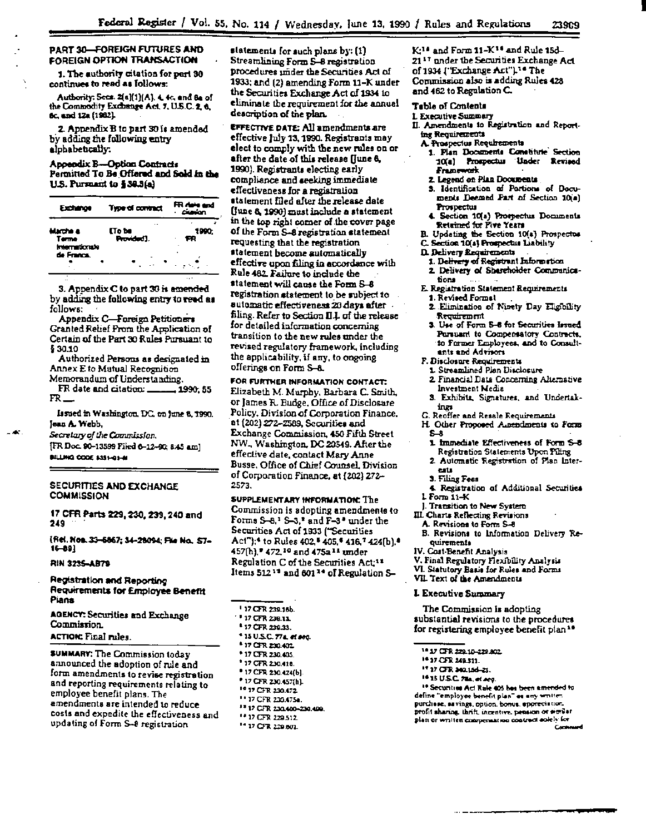# PART 30-FOREIGN FUTURES AND FOREIGN OPTION TRANSACTION

1. The authority citation for part 30 continues to read as follows:

Authority: Secs. 2(a)(1)(A). 4. 4c, and 8a of the Commodity Exchange Act, 7, U.S.C. 2, 6, 6c, and 12a (1982).

2. Appendix B to part 30 is amended by adding the following entry alphabetically.

#### Appendix B-Option Contracts Permitted To Be Offered and Sold in the U.S. Pursuant to § 39.3(a)

FR date and<br>- cleation Exchange **Type of contract** Marche a **CTo be** 1990: Provided'). FR Terme Internationale de Franca.  $\sim$ 

3. Appendix C to part 30 is emended by adding the following entry to read as follows:

Appendix C-Foreign Petitioners Granted Relief From the Application of Certain of the Part 30 Rules Pursuant to \$30.10

Authorized Persons as designated in Annex E to Mutual Recognition Memorandum of Understanding.

. 1990, 55 FR date and citation: \_ FR

Issued in Washington, DC, on june 8, 1990. Jean A. Webb.

Secretary of the Commission. [FR Doc. 90-13599 Filed 6-12-90; 8:45 am] BILLING COOE \$351-01-M

# SECURITIES AND EXCHANGE **COMMISSION**

17 CFR Parts 229, 230, 239, 240 and 249

[Rei. Nos. 33–6867; 34–28094; File No., 57–  $16 - 891$ 

### RIN 3235-AB79

- 460

**Registration and Reporting** Requirements for Employee Benefit Pians

AGENCY: Securities and Exchange Commission.

# **ACTION: Final rules.**

SUMMARY: The Commission today announced the adoption of rule and form amendments to revise registration and reporting requirements relating to employee benefit plans. The amendments are intended to reduce costs and expedite the effectiveness and updating of Form S-8 registration

statements for such plans by: (1) Streamlining Form S-8 registration procedures under the Securities Act of 1933; and (2) amending Form 11–K under the Securities Exchange Act of 1934 to eliminate the requirement for the annual description of the plan.

**EFFECTIVE DATE: All amendments are** effective July 13, 1990. Registrants may elect to comply with the new rules on or after the date of this release (June 6, 1990). Registrants electing early compliance and seeking immediate effectiveness for a registration statement filed after the release date (June 8, 1990) must include a statement in the top right corner of the cover page of the Form S-8 registration statement requesting that the registration statement become automatically effective upon filing in accordance with Rule 462 Failure to include the statement will cause the Form S-8 registration statement to be subject to sutomatic effectiveness 20 days after filing. Refer to Section III of the release for detailed information concerning transition to the new rules under the revised regulatory framework, including the applicability, if any, to ongoing offerings on Form S-8.

FOR FURTHER INFORMATION CONTACT: Elizabeth M. Murphy, Barbara C. Smith, or James R. Budge, Office of Disclosure Policy, Division of Corporation Finance, at (202) 272-2589, Securities and Exchange Commission, 450 Fifth Street NW., Washington, DC 20549. After the effective date, contact Mary Anne Busse, Office of Chief Counsel, Division of Corporation Finance, at {202} 272-2573.

SUPPLEMENTARY INFORMATION: The Commission is adopting amendments to Forms S-8.<sup>1</sup> S-3.<sup>2</sup> and F-3<sup>2</sup> under the Securities Act of 1933 ("Securities Act");<sup>4</sup> to Rules 402,<sup>5</sup> 405,<sup>6</sup> 416,<sup>7</sup> 424(b).<sup>8</sup> 457(h),<sup>\*</sup> 472.<sup>10</sup> and 475a<sup>11</sup> under Regulation C of the Securities Act;<sup>12</sup> Items 512<sup>19</sup> and 601<sup>14</sup> of Regulation S-

- 117 CFR 239.16b.
- <sup>8</sup> 17 CFR 239.11
- \* 17 CFR 239.33.
- <sup>4</sup> 15 U.S.C. 774, et seq.
- \*17 CFR 230.402
- \* 17 CFR 230.405.
- \* 17 CFR 230.418.
- \* 17 CFR 230.424(b).
- \* 17 CFR 230.457(h).
- <sup>10</sup> 17 CFR 230.472
- <sup>11</sup> 17 CFR 230.475a.
- <sup>19</sup> 17 CFR 230.400-230.400.
- <sup>14</sup> 17 CFR 229.512.
- <sup>14</sup> 17 CFR 229.601.

K<sup>11</sup> and Form 11-K<sup>14</sup> and Rule 15d-21<sup>17</sup> under the Securities Exchange Act of 1934 ("Exchange Act").<sup>16</sup> The Commission also is adding Rules 428 and 462 to Regulation C.

#### **Table of Contents**

- **1. Executive Summary**
- II. Amendments to Registration and Reporting Requirements
	- A. Prospectus Requirements
		- 1. Plan Documents Constitute Section 10(a) Prospectus Under Revised Framework
		- 2. Legend on Plan Documents
	- 3. Identification of Portions of Documents Deemed Part of Section 10(a) Prospectus
	- 4. Section 10(a) Prospectus Documents Returned for Five Years
	- B. Updating the Section 10(a) Prospectos C. Section 10(s) Prospectus Liability
	- D. Delivery Requirements
		- 1. Delivery of Registrant Information
	- 2. Delivery of Shareholder Communications
	- E. Registration Statement Requirements 1. Revised Formal
		-
		- 2. Elimination of Ninety Day Eligibility Requirement
		- 3. Use of Form S-6 for Securities Issued Pursuant to Compensatory Contracts, to Former Employees, and to Consultants and Advisors
	- F. Disclosure Requirements

1. Streamlined Pien Disclosure

- 2. Financial Data Concerning Alternative Investment Media
- 3. Exhibits, Signatures, and Undertakings
- G. Reoffer and Resale Requirements
- H. Other Proposed Amendments to Form  $S - 8$ 
	- 1. Immediate Effectiveness of Form S-8 Registration Statements Upon Filing
- 2. Automatic Registration of Plan Inter**ests**
- 3. Filing Fees
- 4. Registration of Additional Securities  $1$  Form  $11 - K$
- J. Transition to New System
- III. Charts Reflecting Revisions
- A. Revisions to Form S-8
- B. Revisions to Information Delivery Requirements
- IV. Cost-Benefit Analysis
- V. Final Regulatory Flexibility Analysis
- VI. Statutory Basis for Rules and Forms
- VII. Text of the Amendments

#### **L Executive Summary**

The Commission is adopting substantial revisions to the procedures for registering employee benefit plan<sup>19</sup>

- 14 17 CFR 229.10-229.802
- \*\* 37 CFR 249.311.
- 17 17 CFR 340.15d-23.
- 16 15 U.S.C. 78a, et seq.

<sup>19</sup> Securities Act Rale 405 has been amended to define "employee benefit plan" or any written purchase, savings, option, bonus, appreciation. profit sharing, thrift, incentive, pension or similar plan or written compensation contract solely for Corre